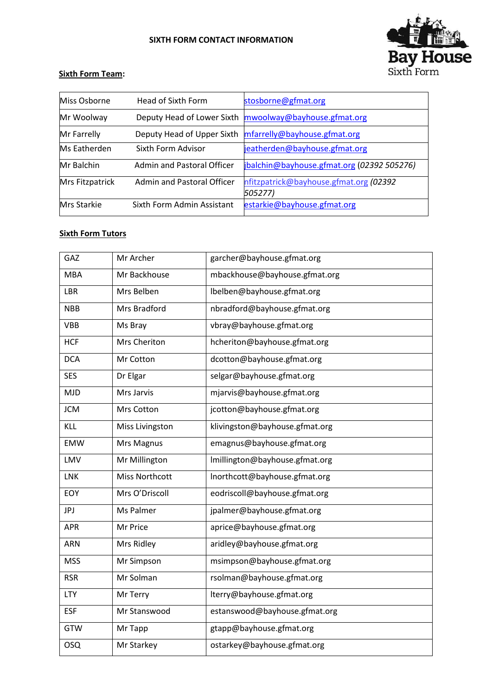## **SIXTH FORM CONTACT INFORMATION**



## **Sixth Form Team:**

| Miss Osborne      | Head of Sixth Form                | stosborne@gfmat.org                                     |
|-------------------|-----------------------------------|---------------------------------------------------------|
| Mr Woolway        |                                   | Deputy Head of Lower Sixth mwoolway@bayhouse.gfmat.org  |
| Mr Farrelly       |                                   | Deputy Head of Upper Sixth mfarrelly@bayhouse.gfmat.org |
| Ms Eatherden      | Sixth Form Advisor                | jeatherden@bayhouse.gfmat.org                           |
| <b>Mr Balchin</b> | <b>Admin and Pastoral Officer</b> | jbalchin@bayhouse.gfmat.org (02392 505276)              |
| Mrs Fitzpatrick   | <b>Admin and Pastoral Officer</b> | nfitzpatrick@bayhouse.gfmat.org (02392<br>505277)       |
| Mrs Starkie       | Sixth Form Admin Assistant        | estarkie@bayhouse.gfmat.org                             |

## **Sixth Form Tutors**

| GAZ        | Mr Archer             | garcher@bayhouse.gfmat.org     |
|------------|-----------------------|--------------------------------|
| <b>MBA</b> | Mr Backhouse          | mbackhouse@bayhouse.gfmat.org  |
| LBR        | Mrs Belben            | lbelben@bayhouse.gfmat.org     |
| <b>NBB</b> | Mrs Bradford          | nbradford@bayhouse.gfmat.org   |
| <b>VBB</b> | Ms Bray               | vbray@bayhouse.gfmat.org       |
| <b>HCF</b> | Mrs Cheriton          | hcheriton@bayhouse.gfmat.org   |
| <b>DCA</b> | Mr Cotton             | dcotton@bayhouse.gfmat.org     |
| <b>SES</b> | Dr Elgar              | selgar@bayhouse.gfmat.org      |
| <b>MJD</b> | Mrs Jarvis            | mjarvis@bayhouse.gfmat.org     |
| <b>JCM</b> | Mrs Cotton            | jcotton@bayhouse.gfmat.org     |
| KLL        | Miss Livingston       | klivingston@bayhouse.gfmat.org |
| <b>EMW</b> | Mrs Magnus            | emagnus@bayhouse.gfmat.org     |
| LMV        | Mr Millington         | Imillington@bayhouse.gfmat.org |
| <b>LNK</b> | <b>Miss Northcott</b> | Inorthcott@bayhouse.gfmat.org  |
| EOY        | Mrs O'Driscoll        | eodriscoll@bayhouse.gfmat.org  |
| <b>JPJ</b> | Ms Palmer             | jpalmer@bayhouse.gfmat.org     |
| <b>APR</b> | Mr Price              | aprice@bayhouse.gfmat.org      |
| ARN        | Mrs Ridley            | aridley@bayhouse.gfmat.org     |
| <b>MSS</b> | Mr Simpson            | msimpson@bayhouse.gfmat.org    |
| <b>RSR</b> | Mr Solman             | rsolman@bayhouse.gfmat.org     |
| <b>LTY</b> | Mr Terry              | lterry@bayhouse.gfmat.org      |
| <b>ESF</b> | Mr Stanswood          | estanswood@bayhouse.gfmat.org  |
| <b>GTW</b> | Mr Tapp               | gtapp@bayhouse.gfmat.org       |
| <b>OSQ</b> | Mr Starkey            | ostarkey@bayhouse.gfmat.org    |